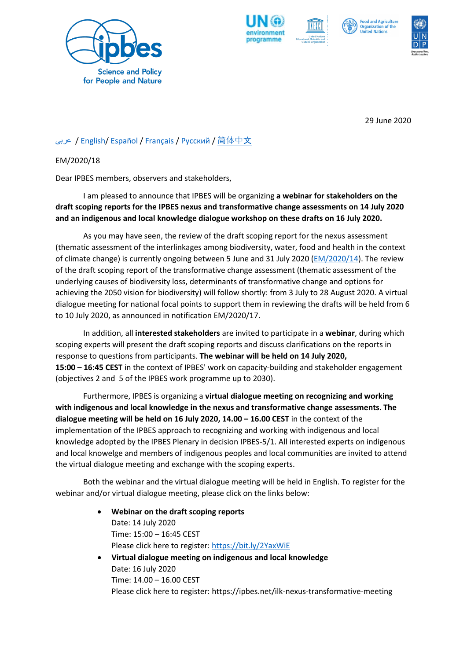







29 June 2020

## [عربى](https://ipbes.net/sites/default/files/2020-06/em_2020_18_dialogue_scoping_reports_2020_AR.pdf) / [English/](https://ipbes.net/sites/default/files/2020-06/em_2020_18_dialogue_scoping_reports_2020_EN.pdf) [Español](https://ipbes.net/sites/default/files/2020-06/em_2020_18_dialogue_scoping_reports_2020_ES.pdf) / [Français](https://ipbes.net/sites/default/files/2020-06/em_2020_18_dialogue_scoping_reports_2020_FR.pdf) / P[усский](https://ipbes.net/sites/default/files/2020-06/em_2020_18_dialogue_scoping_reports_2020_RU.pdf) / [简体中](https://ipbes.net/sites/default/files/2020-06/em_2020_18_dialogue_scoping_reports_2020_ZH.pdf)文

EM/2020/18

Dear IPBES members, observers and stakeholders,

I am pleased to announce that IPBES will be organizing **a webinar for stakeholders on the draft scoping reports for the IPBES nexus and transformative change assessments on 14 July 2020 and an indigenous and local knowledge dialogue workshop on these drafts on 16 July 2020.**

As you may have seen, the review of the draft scoping report for the nexus assessment (thematic assessment of the interlinkages among biodiversity, water, food and health in the context of climate change) is currently ongoing between 5 June and 31 July 2020 [\(EM/2020/14\)](https://ipbes.net/nexus-scoping-review-invitation). The review of the draft scoping report of the transformative change assessment (thematic assessment of the underlying causes of biodiversity loss, determinants of transformative change and options for achieving the 2050 vision for biodiversity) will follow shortly: from 3 July to 28 August 2020. A virtual dialogue meeting for national focal points to support them in reviewing the drafts will be held from 6 to 10 July 2020, as announced in notification EM/2020/17.

In addition, all **interested stakeholders** are invited to participate in a **webinar**, during which scoping experts will present the draft scoping reports and discuss clarifications on the reports in response to questions from participants. **The webinar will be held on 14 July 2020, 15:00 – 16:45 CEST** in the context of IPBES' work on capacity-building and stakeholder engagement (objectives 2 and 5 of the IPBES work programme up to 2030).

Furthermore, IPBES is organizing a **virtual dialogue meeting on recognizing and working with indigenous and local knowledge in the nexus and transformative change assessments**. **The dialogue meeting will be held on 16 July 2020, 14.00 – 16.00 CEST** in the context of the implementation of the IPBES approach to recognizing and working with indigenous and local knowledge adopted by the IPBES Plenary in decision IPBES-5/1. All interested experts on indigenous and local knowelge and members of indigenous peoples and local communities are invited to attend the virtual dialogue meeting and exchange with the scoping experts.

Both the webinar and the virtual dialogue meeting will be held in English. To register for the webinar and/or virtual dialogue meeting, please click on the links below:

> • **Webinar on the draft scoping reports** Date: 14 July 2020 Time: 15:00 – 16:45 CEST Please click here to register:<https://bit.ly/2YaxWiE> • **Virtual dialogue meeting on indigenous and local knowledge** Date: 16 July 2020 Time: 14.00 – 16.00 CEST

Please click here to register: https://ipbes.net/ilk-nexus-transformative-meeting